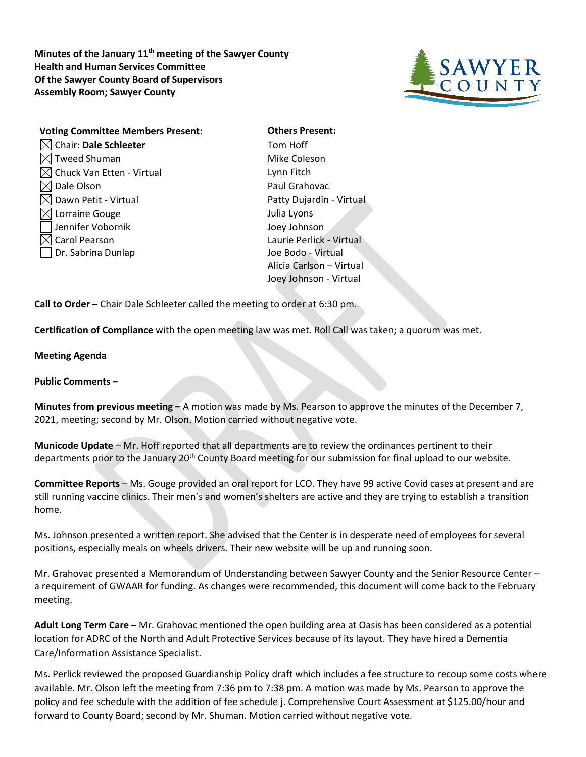**Minutes of the January 11th meeting of the Sawyer County Health and Human Services Committee Of the Sawyer County Board of Supervisors Assembly Room; Sawyer County**



| <b>Voting Committee Members Present:</b> |
|------------------------------------------|
| Chair: Dale Schleeter                    |
| $\sqrt{\ }$ Tweed Shuman                 |
| Chuck Van Etten - Virtual                |
| Dale Olson                               |
| ] Dawn Petit - Virtual                   |
| √ Lorraine Gouge                         |
| Jennifer Vobornik                        |
| Carol Pearson                            |
| Dr. Sabrina Dunlap                       |
|                                          |

**Others Present:** Tom Hoff Mike Coleson Lynn Fitch Paul Grahovac Patty Dujardin - Virtual Julia Lyons Joey Johnson Laurie Perlick - Virtual Joe Bodo - Virtual Alicia Carlson – Virtual Joey Johnson - Virtual

**Call to Order –** Chair Dale Schleeter called the meeting to order at 6:30 pm.

**Certification of Compliance** with the open meeting law was met. Roll Call was taken; a quorum was met.

## **Meeting Agenda**

**Public Comments –**

**Minutes from previous meeting –** A motion was made by Ms. Pearson to approve the minutes of the December 7, 2021, meeting; second by Mr. Olson. Motion carried without negative vote.

**Municode Update** – Mr. Hoff reported that all departments are to review the ordinances pertinent to their departments prior to the January 20th County Board meeting for our submission for final upload to our website.

**Committee Reports** – Ms. Gouge provided an oral report for LCO. They have 99 active Covid cases at present and are still running vaccine clinics. Their men's and women's shelters are active and they are trying to establish a transition home.

Ms. Johnson presented a written report. She advised that the Center is in desperate need of employees for several positions, especially meals on wheels drivers. Their new website will be up and running soon.

Mr. Grahovac presented a Memorandum of Understanding between Sawyer County and the Senior Resource Center – a requirement of GWAAR for funding. As changes were recommended, this document will come back to the February meeting.

**Adult Long Term Care** – Mr. Grahovac mentioned the open building area at Oasis has been considered as a potential location for ADRC of the North and Adult Protective Services because of its layout. They have hired a Dementia Care/Information Assistance Specialist.

Ms. Perlick reviewed the proposed Guardianship Policy draft which includes a fee structure to recoup some costs where available. Mr. Olson left the meeting from 7:36 pm to 7:38 pm. A motion was made by Ms. Pearson to approve the policy and fee schedule with the addition of fee schedule j. Comprehensive Court Assessment at \$125.00/hour and forward to County Board; second by Mr. Shuman. Motion carried without negative vote.